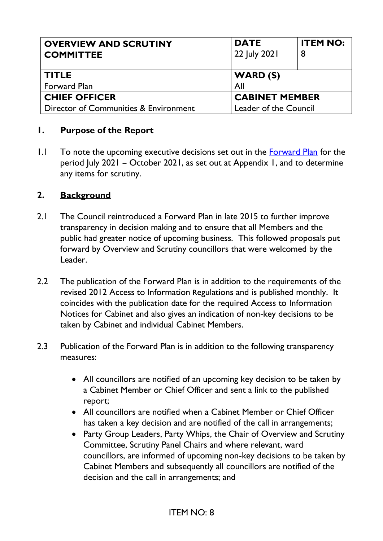| <b>OVERVIEW AND SCRUTINY</b><br><b>COMMITTEE</b> | <b>DATE</b><br>22 July 2021 | <b>ITEM NO:</b> |
|--------------------------------------------------|-----------------------------|-----------------|
| <b>TITLE</b>                                     | WARD(S)                     |                 |
| <b>Forward Plan</b>                              | All                         |                 |
| <b>CHIEF OFFICER</b>                             | <b>CABINET MEMBER</b>       |                 |
| Director of Communities & Environment            | Leader of the Council       |                 |

#### **1. Purpose of the Report**

 $1.1$  To note the upcoming executive decisions set out in the **Forward Plan** for the period July 2021 – October 2021, as set out at Appendix 1, and to determine any items for scrutiny.

#### **2. Background**

- 2.1 The Council reintroduced a Forward Plan in late 2015 to further improve transparency in decision making and to ensure that all Members and the public had greater notice of upcoming business. This followed proposals put forward by Overview and Scrutiny councillors that were welcomed by the Leader.
- 2.2 The publication of the Forward Plan is in addition to the requirements of the revised 2012 Access to Information Regulations and is published monthly. It coincides with the publication date for the required Access to Information Notices for Cabinet and also gives an indication of non-key decisions to be taken by Cabinet and individual Cabinet Members.
- 2.3 Publication of the Forward Plan is in addition to the following transparency measures:
	- All councillors are notified of an upcoming key decision to be taken by a Cabinet Member or Chief Officer and sent a link to the published report;
	- All councillors are notified when a Cabinet Member or Chief Officer has taken a key decision and are notified of the call in arrangements;
	- Party Group Leaders, Party Whips, the Chair of Overview and Scrutiny Committee, Scrutiny Panel Chairs and where relevant, ward councillors, are informed of upcoming non-key decisions to be taken by Cabinet Members and subsequently all councillors are notified of the decision and the call in arrangements; and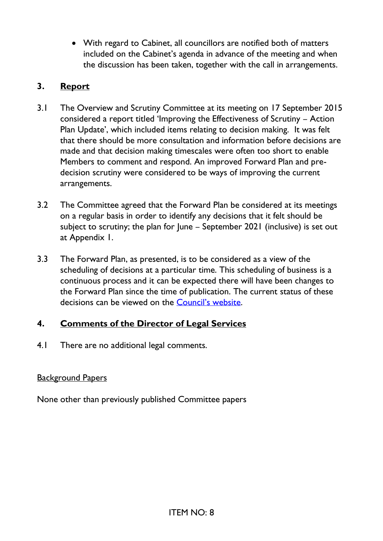• With regard to Cabinet, all councillors are notified both of matters included on the Cabinet's agenda in advance of the meeting and when the discussion has been taken, together with the call in arrangements.

## **3. Report**

- 3.1 The Overview and Scrutiny Committee at its meeting on 17 September 2015 considered a report titled 'Improving the Effectiveness of Scrutiny – Action Plan Update', which included items relating to decision making. It was felt that there should be more consultation and information before decisions are made and that decision making timescales were often too short to enable Members to comment and respond. An improved Forward Plan and predecision scrutiny were considered to be ways of improving the current arrangements.
- 3.2 The Committee agreed that the Forward Plan be considered at its meetings on a regular basis in order to identify any decisions that it felt should be subject to scrutiny; the plan for June – September 2021 (inclusive) is set out at Appendix 1.
- 3.3 The Forward Plan, as presented, is to be considered as a view of the scheduling of decisions at a particular time. This scheduling of business is a continuous process and it can be expected there will have been changes to the Forward Plan since the time of publication. The current status of these decisions can be viewed on the [Council's website](https://committees.royalgreenwich.gov.uk/Decisions.aspx).

# **4. Comments of the Director of Legal Services**

4.1 There are no additional legal comments.

### Background Papers

None other than previously published Committee papers